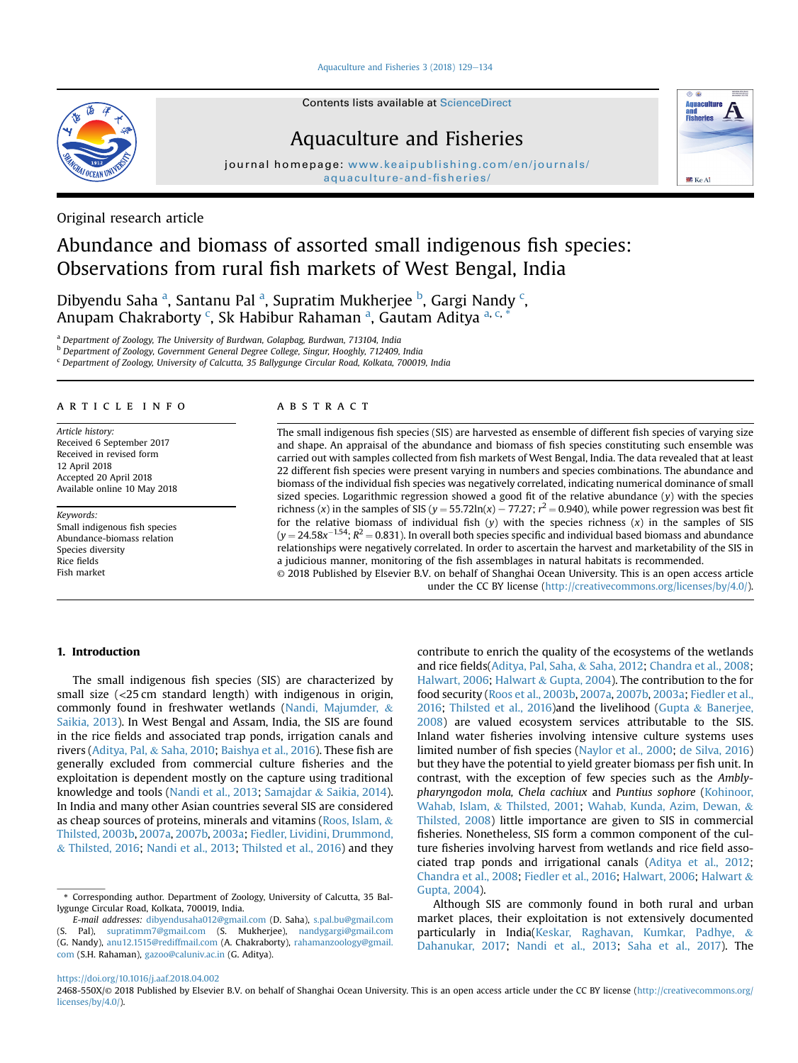[Aquaculture and Fisheries 3 \(2018\) 129](https://doi.org/10.1016/j.aaf.2018.04.002)-[134](https://doi.org/10.1016/j.aaf.2018.04.002)



Contents lists available at [ScienceDirect](www.sciencedirect.com/science/journal/2468550X)

## Aquaculture and Fisheries

journal homepage: [www.keaipublishing.com/en/journals/](http://www.keaipublishing.com/en/journals/aquaculture-and-fisheries/) [aquaculture-and-fisheries/](http://www.keaipublishing.com/en/journals/aquaculture-and-fisheries/)



# Abundance and biomass of assorted small indigenous fish species: Observations from rural fish markets of West Bengal, India

Dibyendu Saha <sup>a</sup>, Santanu Pal <sup>a</sup>, Supratim Mukherjee <sup>b</sup>, Gargi Nandy <sup>c</sup>, Anupam Chakraborty <sup>c</sup>, Sk Habibur Rahaman <sup>a</sup>, Gautam Aditya <sup>a, c, \*</sup>

<sup>a</sup> Department of Zoology, The University of Burdwan, Golapbag, Burdwan, 713104, India

<sup>b</sup> Department of Zoology, Government General Degree College, Singur, Hooghly, 712409, India

<sup>c</sup> Department of Zoology, University of Calcutta, 35 Ballygunge Circular Road, Kolkata, 700019, India

## article info

Article history: Received 6 September 2017 Received in revised form 12 April 2018 Accepted 20 April 2018 Available online 10 May 2018

Keywords: Small indigenous fish species Abundance-biomass relation Species diversity Rice fields Fish market

## **ABSTRACT**

The small indigenous fish species (SIS) are harvested as ensemble of different fish species of varying size and shape. An appraisal of the abundance and biomass of fish species constituting such ensemble was carried out with samples collected from fish markets of West Bengal, India. The data revealed that at least 22 different fish species were present varying in numbers and species combinations. The abundance and biomass of the individual fish species was negatively correlated, indicating numerical dominance of small sized species. Logarithmic regression showed a good fit of the relative abundance  $(y)$  with the species richness (x) in the samples of SIS ( $y = 55.72\ln(x) - 77.27$ ;  $r^2 = 0.940$ ), while power regression was best fit for the relative biomass of individual fish  $(y)$  with the species richness  $(x)$  in the samples of SIS  $(y = 24.58x^{-1.54}$ ;  $R^2 = 0.831$ ). In overall both species specific and individual based biomass and abundance relationships were negatively correlated. In order to ascertain the harvest and marketability of the SIS in a judicious manner, monitoring of the fish assemblages in natural habitats is recommended. © 2018 Published by Elsevier B.V. on behalf of Shanghai Ocean University. This is an open access article

under the CC BY license [\(http://creativecommons.org/licenses/by/4.0/](http://creativecommons.org/licenses/by/4.0/)).

#### 1. Introduction

The small indigenous fish species (SIS) are characterized by small size (<25 cm standard length) with indigenous in origin, commonly found in freshwater wetlands [\(Nandi, Majumder,](#page-5-0) & [Saikia, 2013\)](#page-5-0). In West Bengal and Assam, India, the SIS are found in the rice fields and associated trap ponds, irrigation canals and rivers ([Aditya, Pal,](#page-4-0) & [Saha, 2010](#page-4-0); [Baishya et al., 2016](#page-4-0)). These fish are generally excluded from commercial culture fisheries and the exploitation is dependent mostly on the capture using traditional knowledge and tools ([Nandi et al., 2013](#page-5-0); [Samajdar](#page-5-0) & [Saikia, 2014\)](#page-5-0). In India and many other Asian countries several SIS are considered as cheap sources of proteins, minerals and vitamins ([Roos, Islam,](#page-5-0) & [Thilsted, 2003b](#page-5-0), [2007a](#page-5-0), [2007b](#page-5-0), [2003a](#page-5-0); [Fiedler, Lividini, Drummond,](#page-4-0) & [Thilsted, 2016](#page-4-0); [Nandi et al., 2013;](#page-5-0) [Thilsted et al., 2016\)](#page-5-0) and they contribute to enrich the quality of the ecosystems of the wetlands and rice fields([Aditya, Pal, Saha,](#page-4-0) & [Saha, 2012](#page-4-0); [Chandra et al., 2008;](#page-4-0) [Halwart, 2006;](#page-4-0) [Halwart](#page-4-0) & [Gupta, 2004](#page-4-0)). The contribution to the for food security ([Roos et al., 2003b,](#page-5-0) [2007a](#page-5-0), [2007b,](#page-5-0) [2003a](#page-5-0); [Fiedler et al.,](#page-4-0) [2016;](#page-4-0) [Thilsted et al., 2016\)](#page-5-0)and the livelihood ([Gupta](#page-4-0) & [Banerjee,](#page-4-0) [2008\)](#page-4-0) are valued ecosystem services attributable to the SIS. Inland water fisheries involving intensive culture systems uses limited number of fish species [\(Naylor et al., 2000](#page-5-0); [de Silva, 2016\)](#page-5-0) but they have the potential to yield greater biomass per fish unit. In contrast, with the exception of few species such as the Amblypharyngodon mola, Chela cachiux and Puntius sophore [\(Kohinoor,](#page-5-0) [Wahab, Islam,](#page-5-0) & [Thilsted, 2001;](#page-5-0) [Wahab, Kunda, Azim, Dewan,](#page-5-0) & [Thilsted, 2008](#page-5-0)) little importance are given to SIS in commercial fisheries. Nonetheless, SIS form a common component of the culture fisheries involving harvest from wetlands and rice field associated trap ponds and irrigational canals ([Aditya et al., 2012;](#page-4-0) [Chandra et al., 2008;](#page-4-0) [Fiedler et al., 2016](#page-4-0); [Halwart, 2006;](#page-4-0) [Halwart](#page-4-0) & [Gupta, 2004\)](#page-4-0).

Although SIS are commonly found in both rural and urban market places, their exploitation is not extensively documented particularly in India([Keskar, Raghavan, Kumkar, Padhye,](#page-5-0) & [Dahanukar, 2017;](#page-5-0) [Nandi et al., 2013;](#page-5-0) [Saha et al., 2017](#page-5-0)). The

<https://doi.org/10.1016/j.aaf.2018.04.002>



<sup>\*</sup> Corresponding author. Department of Zoology, University of Calcutta, 35 Ballygunge Circular Road, Kolkata, 700019, India.

E-mail addresses: [dibyendusaha012@gmail.com](mailto:dibyendusaha012@gmail.com) (D. Saha), [s.pal.bu@gmail.com](mailto:s.pal.bu@gmail.com) (S. Pal), [supratimm7@gmail.com](mailto:supratimm7@gmail.com) (S. Mukherjee), [nandygargi@gmail.com](mailto:nandygargi@gmail.com) (G. Nandy), [anu12.1515@rediffmail.com](mailto:anu12.1515@rediffmail.com) (A. Chakraborty), [rahamanzoology@gmail.](mailto:rahamanzoology@gmail.com) [com](mailto:rahamanzoology@gmail.com) (S.H. Rahaman), [gazoo@caluniv.ac.in](mailto:gazoo@caluniv.ac.in) (G. Aditya).

<sup>2468-550</sup>X/© 2018 Published by Elsevier B.V. on behalf of Shanghai Ocean University. This is an open access article under the CC BY license ([http://creativecommons.org/](http://creativecommons.org/licenses/by/4.0/) [licenses/by/4.0/](http://creativecommons.org/licenses/by/4.0/)).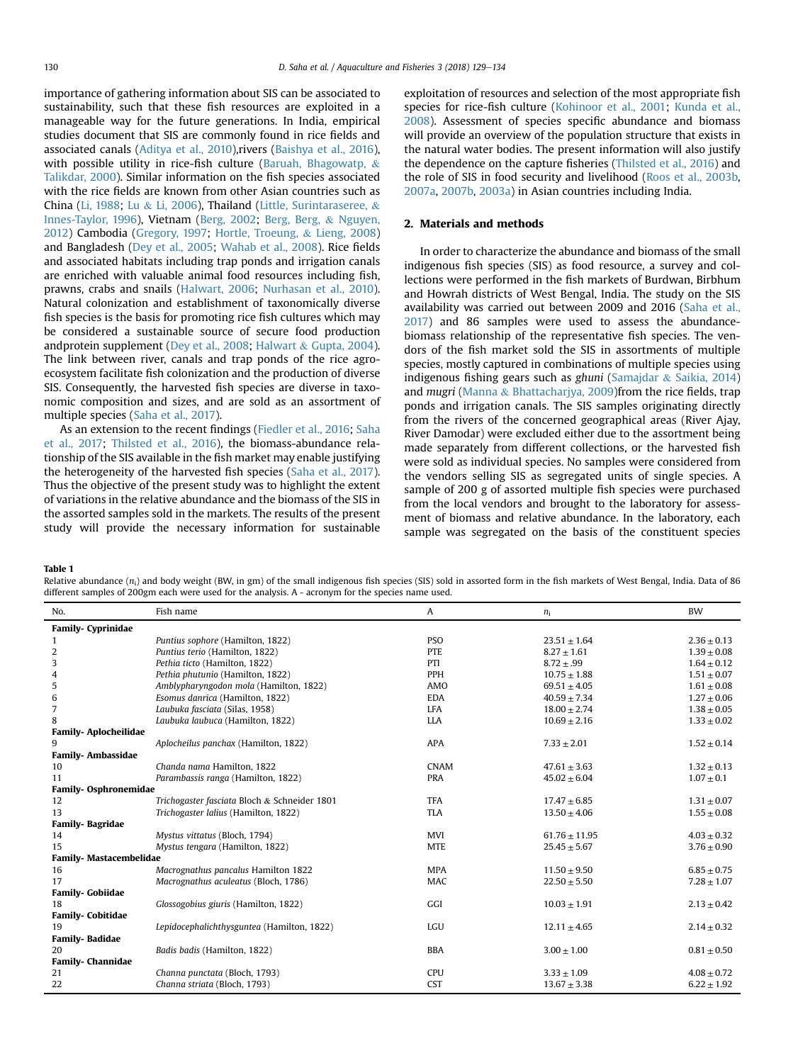<span id="page-1-0"></span>importance of gathering information about SIS can be associated to sustainability, such that these fish resources are exploited in a manageable way for the future generations. In India, empirical studies document that SIS are commonly found in rice fields and associated canals ([Aditya et al., 2010](#page-4-0)),rivers ([Baishya et al., 2016\)](#page-4-0), with possible utility in rice-fish culture ([Baruah, Bhagowatp,](#page-4-0) & [Talikdar, 2000\)](#page-4-0). Similar information on the fish species associated with the rice fields are known from other Asian countries such as China [\(Li, 1988;](#page-5-0) [Lu](#page-5-0) & [Li, 2006](#page-5-0)), Thailand ([Little, Surintaraseree,](#page-5-0) & [Innes-Taylor, 1996](#page-5-0)), Vietnam [\(Berg, 2002](#page-4-0); [Berg, Berg,](#page-4-0) & [Nguyen,](#page-4-0) [2012](#page-4-0)) Cambodia ([Gregory, 1997;](#page-4-0) [Hortle, Troeung,](#page-4-0) & [Lieng, 2008\)](#page-4-0) and Bangladesh ([Dey et al., 2005](#page-4-0); [Wahab et al., 2008](#page-5-0)). Rice fields and associated habitats including trap ponds and irrigation canals are enriched with valuable animal food resources including fish, prawns, crabs and snails ([Halwart, 2006;](#page-4-0) [Nurhasan et al., 2010\)](#page-5-0). Natural colonization and establishment of taxonomically diverse fish species is the basis for promoting rice fish cultures which may be considered a sustainable source of secure food production andprotein supplement [\(Dey et al., 2008;](#page-4-0) [Halwart](#page-4-0) & [Gupta, 2004\)](#page-4-0). The link between river, canals and trap ponds of the rice agroecosystem facilitate fish colonization and the production of diverse SIS. Consequently, the harvested fish species are diverse in taxonomic composition and sizes, and are sold as an assortment of multiple species ([Saha et al., 2017\)](#page-5-0).

As an extension to the recent findings ([Fiedler et al., 2016](#page-4-0); [Saha](#page-5-0) [et al., 2017;](#page-5-0) [Thilsted et al., 2016\)](#page-5-0), the biomass-abundance relationship of the SIS available in the fish market may enable justifying the heterogeneity of the harvested fish species [\(Saha et al., 2017\)](#page-5-0). Thus the objective of the present study was to highlight the extent of variations in the relative abundance and the biomass of the SIS in the assorted samples sold in the markets. The results of the present study will provide the necessary information for sustainable exploitation of resources and selection of the most appropriate fish species for rice-fish culture ([Kohinoor et al., 2001](#page-5-0); [Kunda et al.,](#page-5-0) [2008](#page-5-0)). Assessment of species specific abundance and biomass will provide an overview of the population structure that exists in the natural water bodies. The present information will also justify the dependence on the capture fisheries ([Thilsted et al., 2016](#page-5-0)) and the role of SIS in food security and livelihood ([Roos et al., 2003b,](#page-5-0) [2007a](#page-5-0), [2007b](#page-5-0), [2003a](#page-5-0)) in Asian countries including India.

## 2. Materials and methods

In order to characterize the abundance and biomass of the small indigenous fish species (SIS) as food resource, a survey and collections were performed in the fish markets of Burdwan, Birbhum and Howrah districts of West Bengal, India. The study on the SIS availability was carried out between 2009 and 2016 ([Saha et al.,](#page-5-0) [2017\)](#page-5-0) and 86 samples were used to assess the abundancebiomass relationship of the representative fish species. The vendors of the fish market sold the SIS in assortments of multiple species, mostly captured in combinations of multiple species using indigenous fishing gears such as ghuni ([Samajdar](#page-5-0) & [Saikia, 2014\)](#page-5-0) and mugri [\(Manna](#page-5-0) & [Bhattacharjya, 2009](#page-5-0))from the rice fields, trap ponds and irrigation canals. The SIS samples originating directly from the rivers of the concerned geographical areas (River Ajay, River Damodar) were excluded either due to the assortment being made separately from different collections, or the harvested fish were sold as individual species. No samples were considered from the vendors selling SIS as segregated units of single species. A sample of 200 g of assorted multiple fish species were purchased from the local vendors and brought to the laboratory for assessment of biomass and relative abundance. In the laboratory, each sample was segregated on the basis of the constituent species

Table 1

Relative abundance  $(n_i)$  and body weight (BW, in gm) of the small indigenous fish species (SIS) sold in assorted form in the fish markets of West Bengal, India. Data of 86 different samples of 200gm each were used for the analysis. A - acronym for the species name used.

| No.                            | Fish name                                    | A           | $n_i$             | <b>BW</b>       |
|--------------------------------|----------------------------------------------|-------------|-------------------|-----------------|
| <b>Family- Cyprinidae</b>      |                                              |             |                   |                 |
|                                | Puntius sophore (Hamilton, 1822)             | <b>PSO</b>  | $23.51 \pm 1.64$  | $2.36 \pm 0.13$ |
| 2                              | Puntius terio (Hamilton, 1822)               | <b>PTE</b>  | $8.27 \pm 1.61$   | $1.39 \pm 0.08$ |
| 3                              | Pethia ticto (Hamilton, 1822)                | PTI         | $8.72 \pm .99$    | $1.64 \pm 0.12$ |
| 4                              | Pethia phutunio (Hamilton, 1822)             | <b>PPH</b>  | $10.75 \pm 1.88$  | $1.51 \pm 0.07$ |
| 5                              | Amblypharyngodon mola (Hamilton, 1822)       | AMO         | $69.51 \pm 4.05$  | $1.61 \pm 0.08$ |
| 6                              | Esomus danrica (Hamilton, 1822)              | <b>EDA</b>  | $40.59 \pm 7.34$  | $1.27 \pm 0.06$ |
| 7                              | Laubuka fasciata (Silas, 1958)               | <b>LFA</b>  | $18.00 \pm 2.74$  | $1.38 \pm 0.05$ |
| 8                              | Laubuka laubuca (Hamilton, 1822)             | <b>LLA</b>  | $10.69 \pm 2.16$  | $1.33 \pm 0.02$ |
| <b>Family-Aplocheilidae</b>    |                                              |             |                   |                 |
| q                              | Aplocheilus panchax (Hamilton, 1822)         | <b>APA</b>  | $7.33 \pm 2.01$   | $1.52 \pm 0.14$ |
| <b>Family-Ambassidae</b>       |                                              |             |                   |                 |
| 10                             | Chanda nama Hamilton, 1822                   | <b>CNAM</b> | $47.61 \pm 3.63$  | $1.32 \pm 0.13$ |
| 11                             | Parambassis ranga (Hamilton, 1822)           | <b>PRA</b>  | $45.02 \pm 6.04$  | $1.07 \pm 0.1$  |
| <b>Family- Osphronemidae</b>   |                                              |             |                   |                 |
| 12                             | Trichogaster fasciata Bloch & Schneider 1801 | <b>TFA</b>  | $17.47 \pm 6.85$  | $1.31 \pm 0.07$ |
| 13                             | Trichogaster lalius (Hamilton, 1822)         | <b>TLA</b>  | $13.50 \pm 4.06$  | $1.55 \pm 0.08$ |
| <b>Family-Bagridae</b>         |                                              |             |                   |                 |
| 14                             | Mystus vittatus (Bloch, 1794)                | <b>MVI</b>  | $61.76 \pm 11.95$ | $4.03 \pm 0.32$ |
| 15                             | Mystus tengara (Hamilton, 1822)              | <b>MTE</b>  | $25.45 \pm 5.67$  | $3.76 \pm 0.90$ |
| <b>Family- Mastacembelidae</b> |                                              |             |                   |                 |
| 16                             | Macrognathus pancalus Hamilton 1822          | <b>MPA</b>  | $11.50 \pm 9.50$  | $6.85 \pm 0.75$ |
| 17                             | Macrognathus aculeatus (Bloch, 1786)         | MAC         | $22.50 \pm 5.50$  | $7.28 \pm 1.07$ |
| <b>Family- Gobiidae</b>        |                                              |             |                   |                 |
| 18                             | Glossogobius giuris (Hamilton, 1822)         | GGI         | $10.03 \pm 1.91$  | $2.13 \pm 0.42$ |
| <b>Family- Cobitidae</b>       |                                              |             |                   |                 |
| 19                             | Lepidocephalichthysguntea (Hamilton, 1822)   | LGU         | $12.11 \pm 4.65$  | $2.14 \pm 0.32$ |
| <b>Family-Badidae</b>          |                                              |             |                   |                 |
| 20                             | Badis badis (Hamilton, 1822)                 | <b>BBA</b>  | $3.00 \pm 1.00$   | $0.81 \pm 0.50$ |
| <b>Family- Channidae</b>       |                                              |             |                   |                 |
| 21                             | Channa punctata (Bloch, 1793)                | <b>CPU</b>  | $3.33 \pm 1.09$   | $4.08 \pm 0.72$ |
| 22                             | Channa striata (Bloch, 1793)                 | <b>CST</b>  | $13.67 \pm 3.38$  | $6.22 \pm 1.92$ |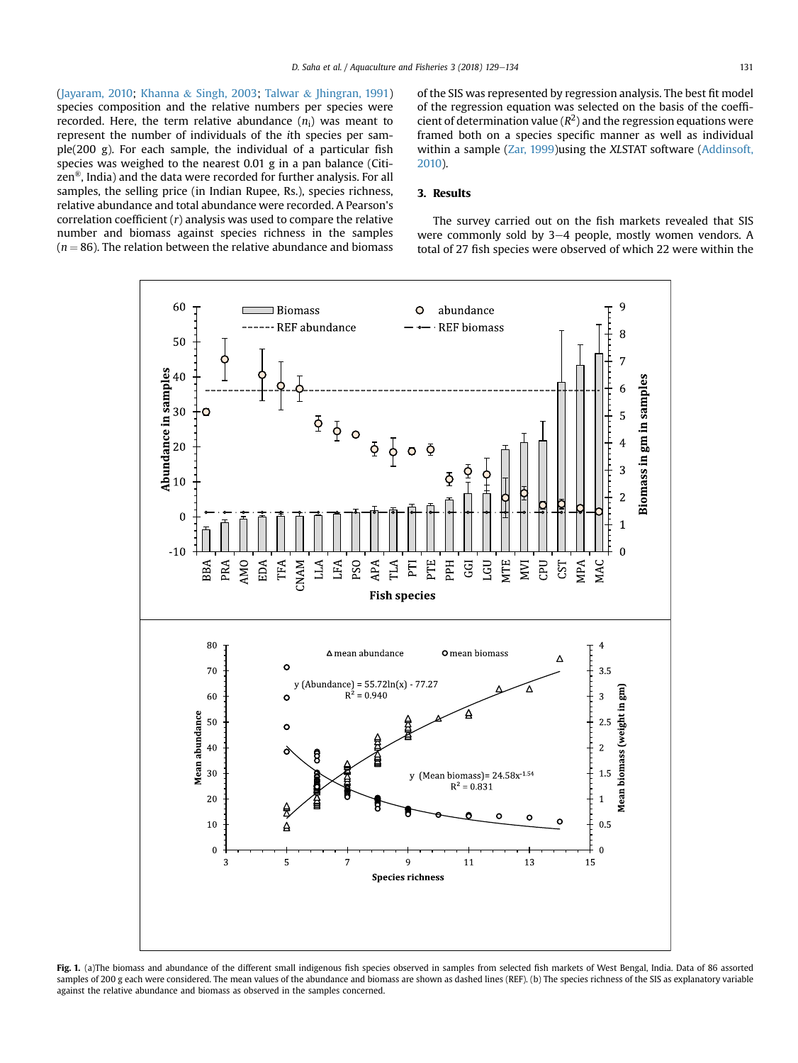<span id="page-2-0"></span>([Jayaram, 2010](#page-5-0); [Khanna](#page-5-0) & [Singh, 2003](#page-5-0); [Talwar](#page-5-0) & [Jhingran, 1991\)](#page-5-0) species composition and the relative numbers per species were recorded. Here, the term relative abundance  $(n_i)$  was meant to represent the number of individuals of the ith species per sample(200 g). For each sample, the individual of a particular fish species was weighed to the nearest 0.01 g in a pan balance (Citizen®, India) and the data were recorded for further analysis. For all samples, the selling price (in Indian Rupee, Rs.), species richness, relative abundance and total abundance were recorded. A Pearson's correlation coefficient  $(r)$  analysis was used to compare the relative number and biomass against species richness in the samples  $(n = 86)$ . The relation between the relative abundance and biomass of the SIS was represented by regression analysis. The best fit model of the regression equation was selected on the basis of the coefficient of determination value ( $R^2$ ) and the regression equations were framed both on a species specific manner as well as individual within a sample [\(Zar, 1999\)](#page-5-0)using the XLSTAT software [\(Addinsoft,](#page-4-0) [2010\)](#page-4-0).

## 3. Results

The survey carried out on the fish markets revealed that SIS were commonly sold by  $3-4$  people, mostly women vendors. A total of 27 fish species were observed of which 22 were within the



Fig. 1. (a)The biomass and abundance of the different small indigenous fish species observed in samples from selected fish markets of West Bengal, India. Data of 86 assorted samples of 200 g each were considered. The mean values of the abundance and biomass are shown as dashed lines (REF). (b) The species richness of the SIS as explanatory variable against the relative abundance and biomass as observed in the samples concerned.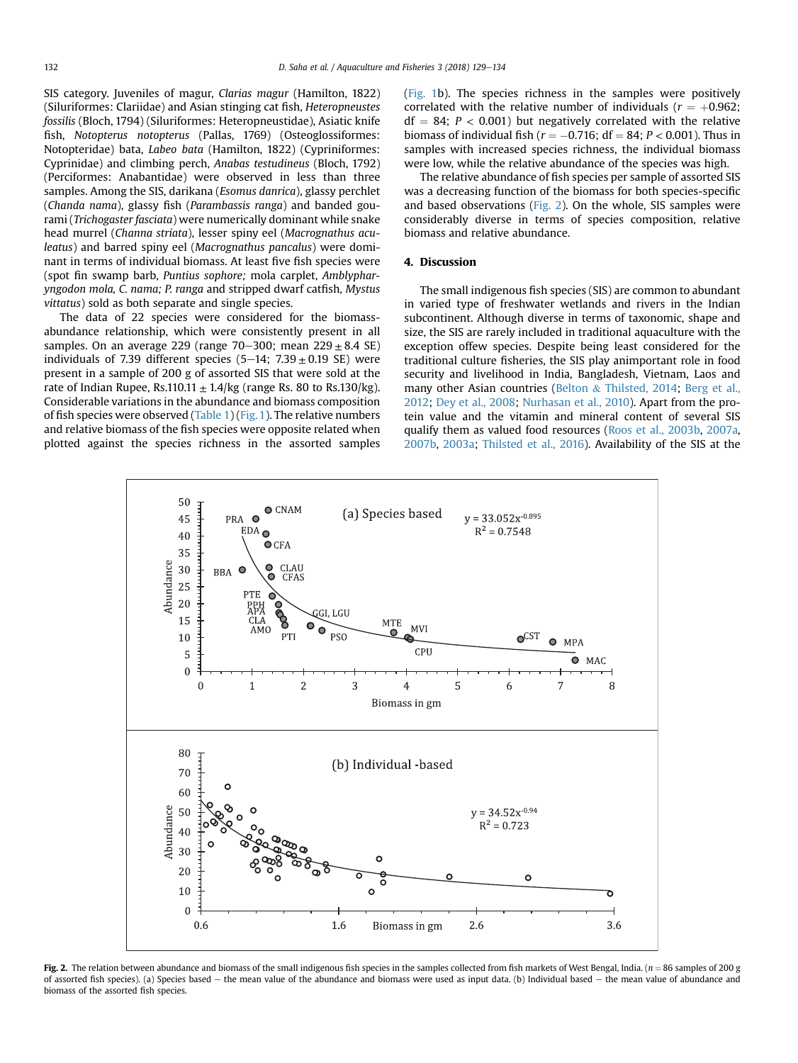SIS category. Juveniles of magur, Clarias magur (Hamilton, 1822) (Siluriformes: Clariidae) and Asian stinging cat fish, Heteropneustes fossilis (Bloch, 1794) (Siluriformes: Heteropneustidae), Asiatic knife fish, Notopterus notopterus (Pallas, 1769) (Osteoglossiformes: Notopteridae) bata, Labeo bata (Hamilton, 1822) (Cypriniformes: Cyprinidae) and climbing perch, Anabas testudineus (Bloch, 1792) (Perciformes: Anabantidae) were observed in less than three samples. Among the SIS, darikana (Esomus danrica), glassy perchlet (Chanda nama), glassy fish (Parambassis ranga) and banded gourami (Trichogaster fasciata) were numerically dominant while snake head murrel (Channa striata), lesser spiny eel (Macrognathus aculeatus) and barred spiny eel (Macrognathus pancalus) were dominant in terms of individual biomass. At least five fish species were (spot fin swamp barb, Puntius sophore; mola carplet, Amblypharyngodon mola, C. nama; P. ranga and stripped dwarf catfish, Mystus vittatus) sold as both separate and single species.

The data of 22 species were considered for the biomassabundance relationship, which were consistently present in all samples. On an average 229 (range 70–300; mean  $229 \pm 8.4$  SE) individuals of 7.39 different species (5-14;  $7.39 \pm 0.19$  SE) were present in a sample of 200 g of assorted SIS that were sold at the rate of Indian Rupee, Rs.110.11  $\pm$  1.4/kg (range Rs. 80 to Rs.130/kg). Considerable variations in the abundance and biomass composition of fish species were observed  $(Table 1)$  $(Table 1)$  [\(Fig. 1](#page-2-0)). The relative numbers and relative biomass of the fish species were opposite related when plotted against the species richness in the assorted samples ([Fig. 1b](#page-2-0)). The species richness in the samples were positively correlated with the relative number of individuals ( $r = +0.962$ ;  $df = 84$ ;  $P < 0.001$ ) but negatively correlated with the relative biomass of individual fish ( $r = -0.716$ ; df = 84;  $P < 0.001$ ). Thus in samples with increased species richness, the individual biomass were low, while the relative abundance of the species was high.

The relative abundance of fish species per sample of assorted SIS was a decreasing function of the biomass for both species-specific and based observations (Fig. 2). On the whole, SIS samples were considerably diverse in terms of species composition, relative biomass and relative abundance.

#### 4. Discussion

The small indigenous fish species (SIS) are common to abundant in varied type of freshwater wetlands and rivers in the Indian subcontinent. Although diverse in terms of taxonomic, shape and size, the SIS are rarely included in traditional aquaculture with the exception offew species. Despite being least considered for the traditional culture fisheries, the SIS play animportant role in food security and livelihood in India, Bangladesh, Vietnam, Laos and many other Asian countries ([Belton](#page-4-0) & [Thilsted, 2014](#page-4-0); [Berg et al.,](#page-4-0) [2012](#page-4-0); [Dey et al., 2008;](#page-4-0) [Nurhasan et al., 2010\)](#page-5-0). Apart from the protein value and the vitamin and mineral content of several SIS qualify them as valued food resources [\(Roos et al., 2003b,](#page-5-0) [2007a,](#page-5-0) [2007b,](#page-5-0) [2003a](#page-5-0); [Thilsted et al., 2016](#page-5-0)). Availability of the SIS at the



Fig. 2. The relation between abundance and biomass of the small indigenous fish species in the samples collected from fish markets of West Bengal, India. ( $n = 86$  samples of 200 g of assorted fish species). (a) Species based e the mean value of the abundance and biomass were used as input data. (b) Individual based e the mean value of abundance and biomass of the assorted fish species.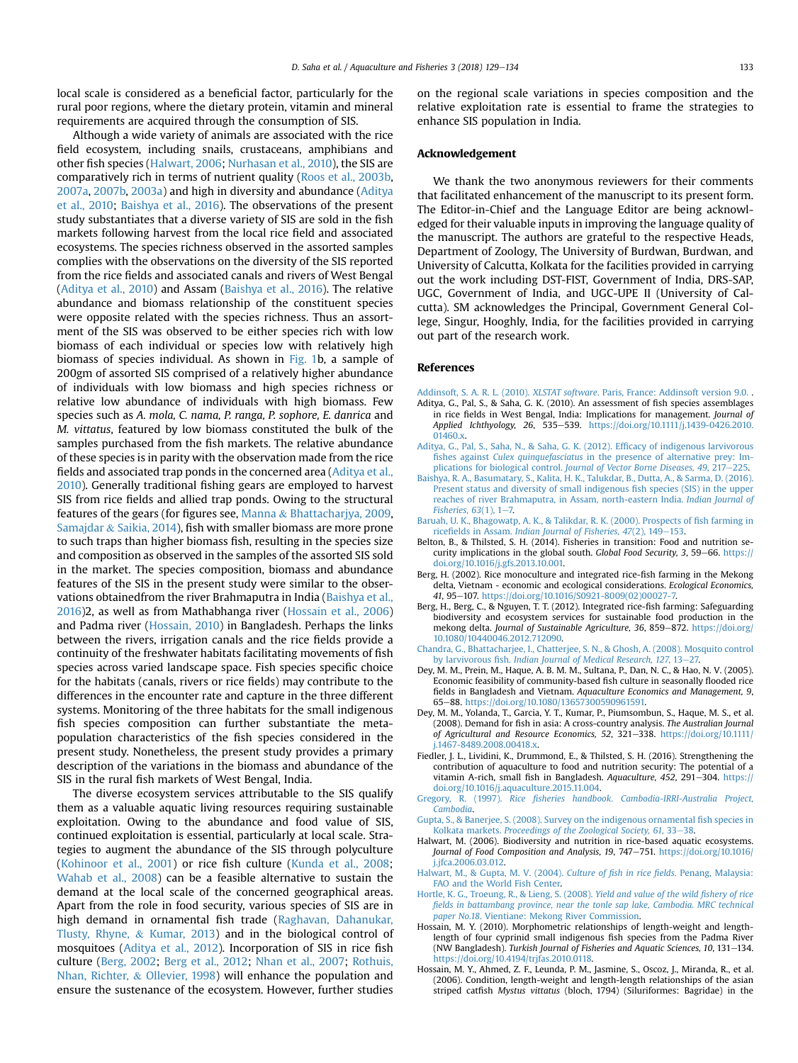<span id="page-4-0"></span>local scale is considered as a beneficial factor, particularly for the rural poor regions, where the dietary protein, vitamin and mineral requirements are acquired through the consumption of SIS.

Although a wide variety of animals are associated with the rice field ecosystem, including snails, crustaceans, amphibians and other fish species (Halwart, 2006; [Nurhasan et al., 2010\)](#page-5-0), the SIS are comparatively rich in terms of nutrient quality ([Roos et al., 2003b,](#page-5-0) [2007a,](#page-5-0) [2007b,](#page-5-0) [2003a](#page-5-0)) and high in diversity and abundance (Aditya et al., 2010; Baishya et al., 2016). The observations of the present study substantiates that a diverse variety of SIS are sold in the fish markets following harvest from the local rice field and associated ecosystems. The species richness observed in the assorted samples complies with the observations on the diversity of the SIS reported from the rice fields and associated canals and rivers of West Bengal (Aditya et al., 2010) and Assam (Baishya et al., 2016). The relative abundance and biomass relationship of the constituent species were opposite related with the species richness. Thus an assortment of the SIS was observed to be either species rich with low biomass of each individual or species low with relatively high biomass of species individual. As shown in [Fig. 1b](#page-2-0), a sample of 200gm of assorted SIS comprised of a relatively higher abundance of individuals with low biomass and high species richness or relative low abundance of individuals with high biomass. Few species such as A. mola, C. nama, P. ranga, P. sophore, E. danrica and M. vittatus, featured by low biomass constituted the bulk of the samples purchased from the fish markets. The relative abundance of these species is in parity with the observation made from the rice fields and associated trap ponds in the concerned area (Aditya et al., 2010). Generally traditional fishing gears are employed to harvest SIS from rice fields and allied trap ponds. Owing to the structural features of the gears (for figures see, [Manna](#page-5-0) & [Bhattacharjya, 2009,](#page-5-0) [Samajdar](#page-5-0) & [Saikia, 2014\)](#page-5-0), fish with smaller biomass are more prone to such traps than higher biomass fish, resulting in the species size and composition as observed in the samples of the assorted SIS sold in the market. The species composition, biomass and abundance features of the SIS in the present study were similar to the observations obtainedfrom the river Brahmaputra in India (Baishya et al., 2016)2, as well as from Mathabhanga river (Hossain et al., 2006) and Padma river (Hossain, 2010) in Bangladesh. Perhaps the links between the rivers, irrigation canals and the rice fields provide a continuity of the freshwater habitats facilitating movements of fish species across varied landscape space. Fish species specific choice for the habitats (canals, rivers or rice fields) may contribute to the differences in the encounter rate and capture in the three different systems. Monitoring of the three habitats for the small indigenous fish species composition can further substantiate the metapopulation characteristics of the fish species considered in the present study. Nonetheless, the present study provides a primary description of the variations in the biomass and abundance of the SIS in the rural fish markets of West Bengal, India.

The diverse ecosystem services attributable to the SIS qualify them as a valuable aquatic living resources requiring sustainable exploitation. Owing to the abundance and food value of SIS, continued exploitation is essential, particularly at local scale. Strategies to augment the abundance of the SIS through polyculture ([Kohinoor et al., 2001](#page-5-0)) or rice fish culture ([Kunda et al., 2008;](#page-5-0) [Wahab et al., 2008](#page-5-0)) can be a feasible alternative to sustain the demand at the local scale of the concerned geographical areas. Apart from the role in food security, various species of SIS are in high demand in ornamental fish trade ([Raghavan, Dahanukar,](#page-5-0) [Tlusty, Rhyne,](#page-5-0) & [Kumar, 2013\)](#page-5-0) and in the biological control of mosquitoes (Aditya et al., 2012). Incorporation of SIS in rice fish culture (Berg, 2002; Berg et al., 2012; [Nhan et al., 2007](#page-5-0); [Rothuis,](#page-5-0) [Nhan, Richter,](#page-5-0) & [Ollevier, 1998](#page-5-0)) will enhance the population and ensure the sustenance of the ecosystem. However, further studies

on the regional scale variations in species composition and the relative exploitation rate is essential to frame the strategies to enhance SIS population in India.

#### Acknowledgement

We thank the two anonymous reviewers for their comments that facilitated enhancement of the manuscript to its present form. The Editor-in-Chief and the Language Editor are being acknowledged for their valuable inputs in improving the language quality of the manuscript. The authors are grateful to the respective Heads, Department of Zoology, The University of Burdwan, Burdwan, and University of Calcutta, Kolkata for the facilities provided in carrying out the work including DST-FIST, Government of India, DRS-SAP, UGC, Government of India, and UGC-UPE II (University of Calcutta). SM acknowledges the Principal, Government General College, Singur, Hooghly, India, for the facilities provided in carrying out part of the research work.

#### References

- Addinsoft, S. A. R. L. (2010). XLSTAT software[. Paris, France: Addinsoft version 9.0.](http://refhub.elsevier.com/S2468-550X(17)30163-6/sref1) .
- Aditya, G., Pal, S., & Saha, G. K. (2010). An assessment of fish species assemblages in rice fields in West Bengal, India: Implications for management. Journal of Applied Ichthyology, 26, 535-539. [https://doi.org/10.1111/j.1439-0426.2010.](https://doi.org/10.1111/j.1439-0426.2010.01460.x) [01460.x](https://doi.org/10.1111/j.1439-0426.2010.01460.x).
- [Aditya, G., Pal, S., Saha, N., & Saha, G. K. \(2012\). Ef](http://refhub.elsevier.com/S2468-550X(17)30163-6/sref3)ficacy of indigenous larvivorous fishes against Culex quinquefasciatus [in the presence of alternative prey: Im-](http://refhub.elsevier.com/S2468-550X(17)30163-6/sref3)plications for biological control. [Journal of Vector Borne Diseases, 49](http://refhub.elsevier.com/S2468-550X(17)30163-6/sref3), 217-[225](http://refhub.elsevier.com/S2468-550X(17)30163-6/sref3).
- [Baishya, R. A., Basumatary, S., Kalita, H. K., Talukdar, B., Dutta, A., & Sarma, D. \(2016\).](http://refhub.elsevier.com/S2468-550X(17)30163-6/sref4) [Present status and diversity of small indigenous](http://refhub.elsevier.com/S2468-550X(17)30163-6/sref4) fish species (SIS) in the upper [reaches of river Brahmaputra, in Assam, north-eastern India.](http://refhub.elsevier.com/S2468-550X(17)30163-6/sref4) Indian Journal of Fisheries,  $63(1)$ ,  $1-7$ .
- [Baruah, U. K., Bhagowatp, A. K., & Talikdar, R. K. \(2000\). Prospects of](http://refhub.elsevier.com/S2468-550X(17)30163-6/sref5) fish farming in ricefields in Assam. Indian Journal of Fisheries,  $47(2)$ ,  $149-153$ .
- Belton, B., & Thilsted, S. H. (2014). Fisheries in transition: Food and nutrition security implications in the global south. Global Food Security, 3, 59–66. [https://](https://doi.org/10.1016/j.gfs.2013.10.001) [doi.org/10.1016/j.gfs.2013.10.001.](https://doi.org/10.1016/j.gfs.2013.10.001)
- Berg, H. (2002). Rice monoculture and integrated rice-fish farming in the Mekong delta, Vietnam - economic and ecological considerations. Ecological Economics, 41, 95-107. [https://doi.org/10.1016/S0921-8009\(02\)00027-7.](https://doi.org/10.1016/S0921-8009(02)00027-7)
- Berg, H., Berg, C., & Nguyen, T. T. (2012). Integrated rice-fish farming: Safeguarding biodiversity and ecosystem services for sustainable food production in the mekong delta. Journal of Sustainable Agriculture, 36, 859-872. [https://doi.org/](https://doi.org/10.1080/10440046.2012.712090) [10.1080/10440046.2012.712090](https://doi.org/10.1080/10440046.2012.712090).
- [Chandra, G., Bhattacharjee, I., Chatterjee, S. N., & Ghosh, A. \(2008\). Mosquito control](http://refhub.elsevier.com/S2468-550X(17)30163-6/sref9) by larvivorous fish. [Indian Journal of Medical Research, 127](http://refhub.elsevier.com/S2468-550X(17)30163-6/sref9), 13-[27.](http://refhub.elsevier.com/S2468-550X(17)30163-6/sref9)
- Dey, M. M., Prein, M., Haque, A. B. M. M., Sultana, P., Dan, N. C., & Hao, N. V. (2005). Economic feasibility of community-based fish culture in seasonally flooded rice fields in Bangladesh and Vietnam. Aquaculture Economics and Management, 9, 65e88. [https://doi.org/10.1080/13657300590961591.](https://doi.org/10.1080/13657300590961591)
- Dey, M. M., Yolanda, T., Garcia, Y. T., Kumar, P., Piumsombun, S., Haque, M. S., et al. (2008). Demand for fish in asia: A cross-country analysis. The Australian Journal of Agricultural and Resource Economics, 52, 321-338. [https://doi.org/10.1111/](https://doi.org/10.1111/j.1467-8489.2008.00418.x) [j.1467-8489.2008.00418.x](https://doi.org/10.1111/j.1467-8489.2008.00418.x).
- Fiedler, J. L., Lividini, K., Drummond, E., & Thilsted, S. H. (2016). Strengthening the contribution of aquaculture to food and nutrition security: The potential of a vitamin A-rich, small fish in Bangladesh. Aquaculture, 452, 291-304. [https://](https://doi.org/10.1016/j.aquaculture.2015.11.004) [doi.org/10.1016/j.aquaculture.2015.11.004.](https://doi.org/10.1016/j.aquaculture.2015.11.004)
- Gregory, R. (1997). Rice fi[sheries handbook. Cambodia-IRRI-Australia Project,](http://refhub.elsevier.com/S2468-550X(17)30163-6/sref13) [Cambodia](http://refhub.elsevier.com/S2468-550X(17)30163-6/sref13).
- [Gupta, S., & Banerjee, S. \(2008\). Survey on the indigenous ornamental](http://refhub.elsevier.com/S2468-550X(17)30163-6/sref14) fish species in Kolkata markets. [Proceedings of the Zoological Society, 61](http://refhub.elsevier.com/S2468-550X(17)30163-6/sref14), 33-[38.](http://refhub.elsevier.com/S2468-550X(17)30163-6/sref14)
- Halwart, M. (2006). Biodiversity and nutrition in rice-based aquatic ecosystems. Journal of Food Composition and Analysis, 19, 747-751. [https://doi.org/10.1016/](https://doi.org/10.1016/j.jfca.2006.03.012) [j.jfca.2006.03.012](https://doi.org/10.1016/j.jfca.2006.03.012).
- [Halwart, M., & Gupta, M. V. \(2004\).](http://refhub.elsevier.com/S2468-550X(17)30163-6/sref16) Culture of fish in rice fields. Penang, Malaysia: [FAO and the World Fish Center.](http://refhub.elsevier.com/S2468-550X(17)30163-6/sref16)
- [Hortle, K. G., Troeung, R., & Lieng, S. \(2008\).](http://refhub.elsevier.com/S2468-550X(17)30163-6/sref17) Yield and value of the wild fishery of rice fi[elds in battambang province, near the tonle sap lake, Cambodia. MRC technical](http://refhub.elsevier.com/S2468-550X(17)30163-6/sref17) paper No.18[. Vientiane: Mekong River Commission](http://refhub.elsevier.com/S2468-550X(17)30163-6/sref17).
- Hossain, M. Y. (2010). Morphometric relationships of length-weight and lengthlength of four cyprinid small indigenous fish species from the Padma River (NW Bangladesh). Turkish Journal of Fisheries and Aquatic Sciences, 10, 131-134. [https://doi.org/10.4194/trjfas.2010.0118.](https://doi.org/10.4194/trjfas.2010.0118)
- Hossain, M. Y., Ahmed, Z. F., Leunda, P. M., Jasmine, S., Oscoz, J., Miranda, R., et al. (2006). Condition, length-weight and length-length relationships of the asian striped catfish Mystus vittatus (bloch, 1794) (Siluriformes: Bagridae) in the